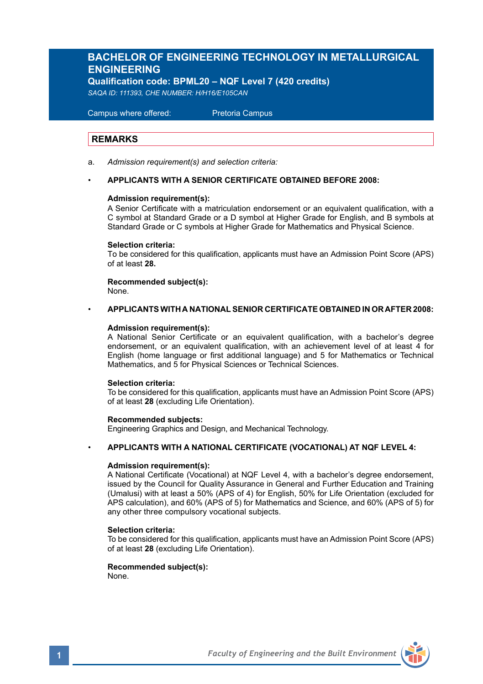## **BACHELOR OF ENGINEERING TECHNOLOGY IN METALLURGICAL ENGINEERING**

**Qualification code: BPML20 – NQF Level 7 (420 credits)**

*SAQA ID: 111393, CHE NUMBER: H/H16/E105CAN* 

 Campus where offered: Pretoria Campus

### **REMARKS**

a. *Admission requirement(s) and selection criteria:*

### • **APPLICANTS WITH A SENIOR CERTIFICATE OBTAINED BEFORE 2008:**

### **Admission requirement(s):**

A Senior Certificate with a matriculation endorsement or an equivalent qualification, with a C symbol at Standard Grade or a D symbol at Higher Grade for English, and B symbols at Standard Grade or C symbols at Higher Grade for Mathematics and Physical Science.

### **Selection criteria:**

To be considered for this qualification, applicants must have an Admission Point Score (APS) of at least **28.**

**Recommended subject(s):** None.

## • **APPLICANTS WITH A NATIONAL SENIOR CERTIFICATE OBTAINED IN OR AFTER 2008:**

### **Admission requirement(s):**

A National Senior Certificate or an equivalent qualification, with a bachelor's degree endorsement, or an equivalent qualification, with an achievement level of at least 4 for English (home language or first additional language) and 5 for Mathematics or Technical Mathematics, and 5 for Physical Sciences or Technical Sciences.

### **Selection criteria:**

To be considered for this qualification, applicants must have an Admission Point Score (APS) of at least **28** (excluding Life Orientation).

### **Recommended subjects:**

Engineering Graphics and Design, and Mechanical Technology.

### • **APPLICANTS WITH A NATIONAL CERTIFICATE (VOCATIONAL) AT NQF LEVEL 4:**

### **Admission requirement(s):**

A National Certificate (Vocational) at NQF Level 4, with a bachelor's degree endorsement, issued by the Council for Quality Assurance in General and Further Education and Training (Umalusi) with at least a 50% (APS of 4) for English, 50% for Life Orientation (excluded for APS calculation), and 60% (APS of 5) for Mathematics and Science, and 60% (APS of 5) for any other three compulsory vocational subjects.

### **Selection criteria:**

To be considered for this qualification, applicants must have an Admission Point Score (APS) of at least **28** (excluding Life Orientation).

### **Recommended subject(s):**

None.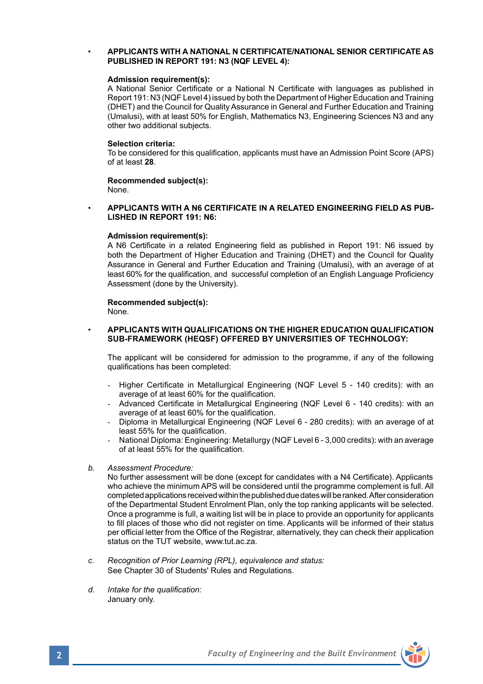### • **APPLICANTS WITH A NATIONAL N CERTIFICATE/NATIONAL SENIOR CERTIFICATE AS PUBLISHED IN REPORT 191: N3 (NQF LEVEL 4):**

### **Admission requirement(s):**

A National Senior Certificate or a National N Certificate with languages as published in Report 191: N3 (NQF Level 4) issued by both the Department of Higher Education and Training (DHET) and the Council for Quality Assurance in General and Further Education and Training (Umalusi), with at least 50% for English, Mathematics N3, Engineering Sciences N3 and any other two additional subjects.

### **Selection criteria:**

To be considered for this qualification, applicants must have an Admission Point Score (APS) of at least **28**.

**Recommended subject(s):** None.

### • **APPLICANTS WITH A N6 CERTIFICATE IN A RELATED ENGINEERING FIELD AS PUB-LISHED IN REPORT 191: N6:**

### **Admission requirement(s):**

A N6 Certificate in a related Engineering field as published in Report 191: N6 issued by both the Department of Higher Education and Training (DHET) and the Council for Quality Assurance in General and Further Education and Training (Umalusi), with an average of at least 60% for the qualification, and successful completion of an English Language Proficiency Assessment (done by the University).

# **Recommended subject(s):**

None.

### • **APPLICANTS WITH QUALIFICATIONS ON THE HIGHER EDUCATION QUALIFICATION SUB-FRAMEWORK (HEQSF) OFFERED BY UNIVERSITIES OF TECHNOLOGY:**

The applicant will be considered for admission to the programme, if any of the following qualifications has been completed:

- Higher Certificate in Metallurgical Engineering (NQF Level 5 140 credits): with an average of at least 60% for the qualification.
- Advanced Certificate in Metallurgical Engineering (NQF Level 6 140 credits): with an average of at least 60% for the qualification.
- Diploma in Metallurgical Engineering (NQF Level 6 280 credits): with an average of at least 55% for the qualification.
- National Diploma: Engineering: Metallurgy (NQF Level 6 3,000 credits): with an average of at least 55% for the qualification.
- *b. Assessment Procedure:*

No further assessment will be done (except for candidates with a N4 Certificate). Applicants who achieve the minimum APS will be considered until the programme complement is full. All completed applications received within the published due dates will be ranked. After consideration of the Departmental Student Enrolment Plan, only the top ranking applicants will be selected. Once a programme is full, a waiting list will be in place to provide an opportunity for applicants to fill places of those who did not register on time. Applicants will be informed of their status per official letter from the Office of the Registrar, alternatively, they can check their application status on the TUT website, www.tut.ac.za.

- *c. Recognition of Prior Learning (RPL), equivalence and status:* See Chapter 30 of Students' Rules and Regulations.
- *d. Intake for the qualification:* January only.

**2** *Faculty of Engineering and the Built Environment*

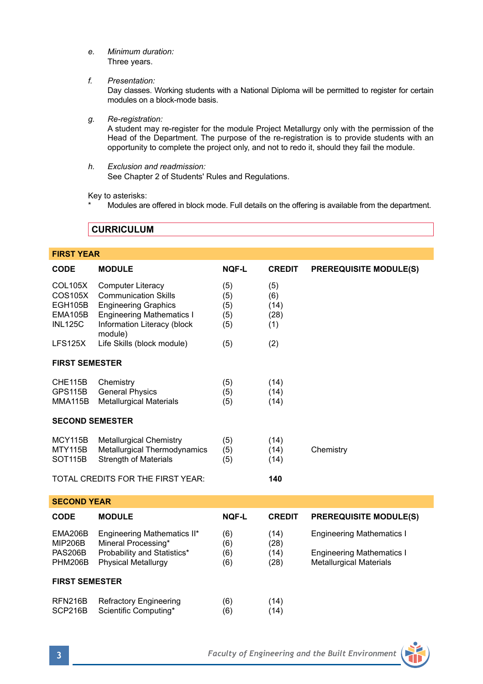*e. Minimum duration:* Three years.

*f. Presentation:*

Day classes. Working students with a National Diploma will be permitted to register for certain modules on a block-mode basis.

*g. Re-registration:*

A student may re-register for the module Project Metallurgy only with the permission of the Head of the Department. The purpose of the re-registration is to provide students with an opportunity to complete the project only, and not to redo it, should they fail the module.

*h. Exclusion and readmission:* See Chapter 2 of Students' Rules and Regulations.

Key to asterisks:

Modules are offered in block mode. Full details on the offering is available from the department.

**CURRICULUM** 

| <b>FIRST YEAR</b>                                                        |                                                                                                                                                               |                                 |                                   |                                                                                                        |  |  |  |
|--------------------------------------------------------------------------|---------------------------------------------------------------------------------------------------------------------------------------------------------------|---------------------------------|-----------------------------------|--------------------------------------------------------------------------------------------------------|--|--|--|
| <b>CODE</b>                                                              | <b>MODULE</b>                                                                                                                                                 | <b>NOF-L</b>                    | <b>CREDIT</b>                     | <b>PREREQUISITE MODULE(S)</b>                                                                          |  |  |  |
| <b>COL105X</b><br>COS105X<br><b>EGH105B</b><br>EMA105B<br><b>INL125C</b> | Computer Literacy<br><b>Communication Skills</b><br><b>Engineering Graphics</b><br><b>Engineering Mathematics I</b><br>Information Literacy (block<br>module) | (5)<br>(5)<br>(5)<br>(5)<br>(5) | (5)<br>(6)<br>(14)<br>(28)<br>(1) |                                                                                                        |  |  |  |
| LFS125X                                                                  | Life Skills (block module)                                                                                                                                    | (5)                             | (2)                               |                                                                                                        |  |  |  |
| <b>FIRST SEMESTER</b>                                                    |                                                                                                                                                               |                                 |                                   |                                                                                                        |  |  |  |
| CHE115B<br><b>GPS115B</b><br><b>MMA115B</b>                              | Chemistry<br><b>General Physics</b><br><b>Metallurgical Materials</b>                                                                                         | (5)<br>(5)<br>(5)               | (14)<br>(14)<br>(14)              |                                                                                                        |  |  |  |
| <b>SECOND SEMESTER</b>                                                   |                                                                                                                                                               |                                 |                                   |                                                                                                        |  |  |  |
| <b>MCY115B</b><br><b>MTY115B</b><br><b>SOT115B</b>                       | <b>Metallurgical Chemistry</b><br>Metallurgical Thermodynamics<br><b>Strength of Materials</b>                                                                | (5)<br>(5)<br>(5)               | (14)<br>(14)<br>(14)              | Chemistry                                                                                              |  |  |  |
|                                                                          | TOTAL CREDITS FOR THE FIRST YEAR:                                                                                                                             |                                 | 140                               |                                                                                                        |  |  |  |
| <b>SECOND YEAR</b>                                                       |                                                                                                                                                               |                                 |                                   |                                                                                                        |  |  |  |
| <b>CODE</b>                                                              | <b>MODULE</b>                                                                                                                                                 | <b>NOF-L</b>                    | <b>CREDIT</b>                     | <b>PREREQUISITE MODULE(S)</b>                                                                          |  |  |  |
| EMA206B<br><b>MIP206B</b><br><b>PAS206B</b><br><b>PHM206B</b>            | Engineering Mathematics II*<br>Mineral Processing*<br>Probability and Statistics*<br><b>Physical Metallurgy</b>                                               | (6)<br>(6)<br>(6)<br>(6)        | (14)<br>(28)<br>(14)<br>(28)      | <b>Engineering Mathematics I</b><br><b>Engineering Mathematics I</b><br><b>Metallurgical Materials</b> |  |  |  |
| <b>FIRST SEMESTER</b>                                                    |                                                                                                                                                               |                                 |                                   |                                                                                                        |  |  |  |
| RFN216B<br>SCP216B                                                       | <b>Refractory Engineering</b><br>Scientific Computing*                                                                                                        | (6)<br>(6)                      | (14)<br>(14)                      |                                                                                                        |  |  |  |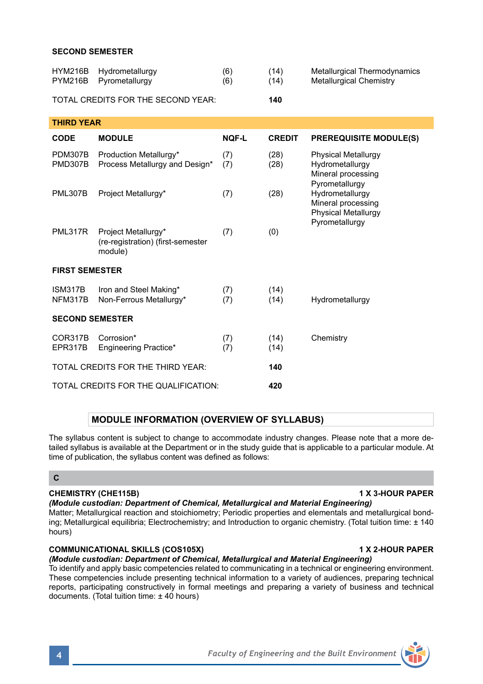### **SECOND SEMESTER**

| <b>HYM216B</b><br><b>PYM216B</b>         | Hydrometallurgy<br>Pyrometallurgy                                   | (6)<br>(6)   | (14)<br>(14)  | Metallurgical Thermodynamics<br><b>Metallurgical Chemistry</b>                                                                                                                 |  |  |  |
|------------------------------------------|---------------------------------------------------------------------|--------------|---------------|--------------------------------------------------------------------------------------------------------------------------------------------------------------------------------|--|--|--|
| TOTAL CREDITS FOR THE SECOND YEAR:       |                                                                     |              | 140           |                                                                                                                                                                                |  |  |  |
| <b>THIRD YEAR</b>                        |                                                                     |              |               |                                                                                                                                                                                |  |  |  |
| <b>CODE</b>                              | <b>MODULE</b>                                                       | <b>NOF-L</b> | <b>CREDIT</b> | <b>PREREQUISITE MODULE(S)</b>                                                                                                                                                  |  |  |  |
| <b>PDM307B</b><br><b>PMD307B</b>         | Production Metallurgy*<br>Process Metallurgy and Design*            | (7)<br>(7)   | (28)<br>(28)  | <b>Physical Metallurgy</b><br>Hydrometallurgy<br>Mineral processing<br>Pyrometallurgy<br>Hydrometallurgy<br>Mineral processing<br><b>Physical Metallurgy</b><br>Pyrometallurgy |  |  |  |
| <b>PML307B</b>                           | Project Metallurgy*                                                 | (7)          | (28)          |                                                                                                                                                                                |  |  |  |
| <b>PML317R</b>                           | Project Metallurgy*<br>(re-registration) (first-semester<br>module) | (7)          | (0)           |                                                                                                                                                                                |  |  |  |
| <b>FIRST SEMESTER</b>                    |                                                                     |              |               |                                                                                                                                                                                |  |  |  |
| ISM317B<br>NFM317B                       | Iron and Steel Making*<br>Non-Ferrous Metallurgy*                   | (7)<br>(7)   | (14)<br>(14)  | Hydrometallurgy                                                                                                                                                                |  |  |  |
| <b>SECOND SEMESTER</b>                   |                                                                     |              |               |                                                                                                                                                                                |  |  |  |
| COR317B<br>EPR317B                       | Corrosion*<br>Engineering Practice*                                 | (7)<br>(7)   | (14)<br>(14)  | Chemistry                                                                                                                                                                      |  |  |  |
| TOTAL CREDITS FOR THE THIRD YEAR:<br>140 |                                                                     |              |               |                                                                                                                                                                                |  |  |  |
|                                          | TOTAL CREDITS FOR THE QUALIFICATION:                                |              |               |                                                                                                                                                                                |  |  |  |

### **MODULE INFORMATION (OVERVIEW OF SYLLABUS)**

The syllabus content is subject to change to accommodate industry changes. Please note that a more detailed syllabus is available at the Department or in the study guide that is applicable to a particular module. At time of publication, the syllabus content was defined as follows:

## **C**

### **CHEMISTRY (CHE115B) 1 X 3-HOUR PAPER**

*(Module custodian: Department of Chemical, Metallurgical and Material Engineering)*

Matter; Metallurgical reaction and stoichiometry; Periodic properties and elementals and metallurgical bonding; Metallurgical equilibria; Electrochemistry; and Introduction to organic chemistry. (Total tuition time: ± 140 hours)

## **COMMUNICATIONAL SKILLS (COS105X) 1 X 2-HOUR PAPER**

### *(Module custodian: Department of Chemical, Metallurgical and Material Engineering)*

To identify and apply basic competencies related to communicating in a technical or engineering environment. These competencies include presenting technical information to a variety of audiences, preparing technical reports, participating constructively in formal meetings and preparing a variety of business and technical documents. (Total tuition time: ± 40 hours)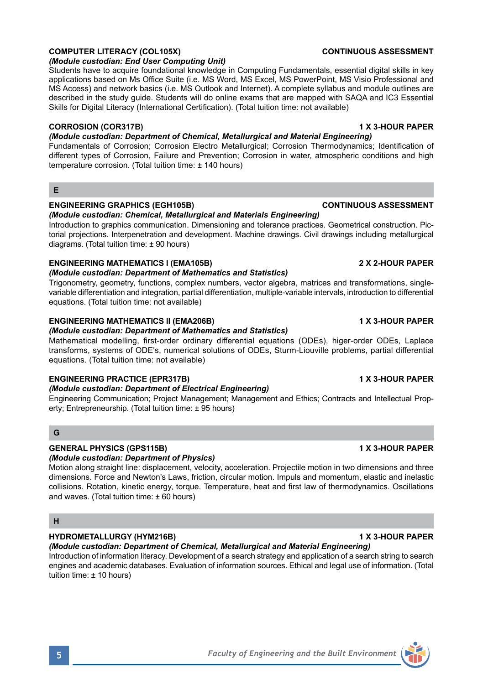### **COMPUTER LITERACY (COL105X)** CONTINUOUS ASSESSMENT

### *(Module custodian: End User Computing Unit)*

Students have to acquire foundational knowledge in Computing Fundamentals, essential digital skills in key applications based on Ms Office Suite (i.e. MS Word, MS Excel, MS PowerPoint, MS Visio Professional and MS Access) and network basics (i.e. MS Outlook and Internet). A complete syllabus and module outlines are described in the study guide. Students will do online exams that are mapped with SAQA and IC3 Essential Skills for Digital Literacy (International Certification). (Total tuition time: not available)

### **CORROSION (COR317B) 1 X 3-HOUR PAPER**

### *(Module custodian: Department of Chemical, Metallurgical and Material Engineering)*

Fundamentals of Corrosion; Corrosion Electro Metallurgical; Corrosion Thermodynamics; Identification of different types of Corrosion, Failure and Prevention; Corrosion in water, atmospheric conditions and high temperature corrosion. (Total tuition time: ± 140 hours)

### **E**

### **ENGINEERING GRAPHICS (EGH105B) CONTINUOUS ASSESSMENT**

*(Module custodian: Chemical, Metallurgical and Materials Engineering)*

Introduction to graphics communication. Dimensioning and tolerance practices. Geometrical construction. Pictorial projections. Interpenetration and development. Machine drawings. Civil drawings including metallurgical diagrams. (Total tuition time: ± 90 hours)

### **ENGINEERING MATHEMATICS I (EMA105B) 2 X 2-HOUR PAPER**

### *(Module custodian: Department of Mathematics and Statistics)*

Trigonometry, geometry, functions, complex numbers, vector algebra, matrices and transformations, singlevariable differentiation and integration, partial differentiation, multiple-variable intervals, introduction to differential equations. (Total tuition time: not available)

### **ENGINEERING MATHEMATICS II (EMA206B)** 1 X 3-HOUR PAPER

### *(Module custodian: Department of Mathematics and Statistics)*

Mathematical modelling, first-order ordinary differential equations (ODEs), higer-order ODEs, Laplace transforms, systems of ODE's, numerical solutions of ODEs, Sturm-Liouville problems, partial differential equations. (Total tuition time: not available)

### **ENGINEERING PRACTICE (EPR317B) 1 X 3-HOUR PAPER**

### *(Module custodian: Department of Electrical Engineering)*

Engineering Communication; Project Management; Management and Ethics; Contracts and Intellectual Property; Entrepreneurship. (Total tuition time: ± 95 hours)

### **G**

### **GENERAL PHYSICS (GPS115B) 1 X 3-HOUR PAPER**

### *(Module custodian: Department of Physics)*

Motion along straight line: displacement, velocity, acceleration. Projectile motion in two dimensions and three dimensions. Force and Newton's Laws, friction, circular motion. Impuls and momentum, elastic and inelastic collisions. Rotation, kinetic energy, torque. Temperature, heat and first law of thermodynamics. Oscillations and waves. (Total tuition time: ± 60 hours)

### **H**

## **HYDROMETALLURGY (HYM216B) 1 X 3-HOUR PAPER**

## *(Module custodian: Department of Chemical, Metallurgical and Material Engineering)*

Introduction of information literacy. Development of a search strategy and application of a search string to search engines and academic databases. Evaluation of information sources. Ethical and legal use of information. (Total tuition time: ± 10 hours)

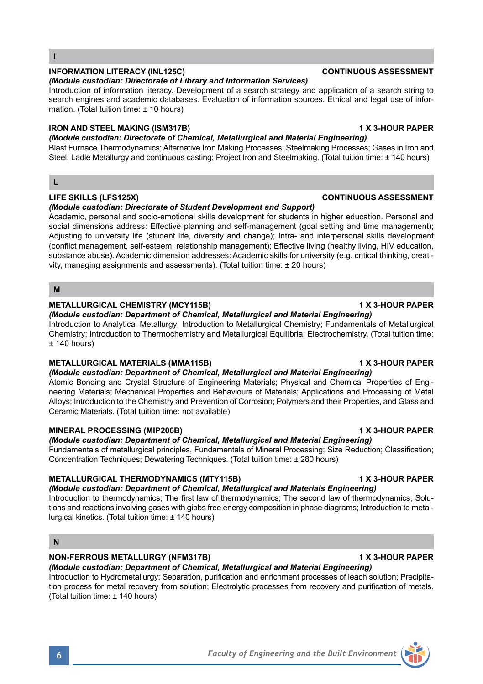*(Module custodian: Directorate of Library and Information Services)* Introduction of information literacy. Development of a search strategy and application of a search string to search engines and academic databases. Evaluation of information sources. Ethical and legal use of information. (Total tuition time: ± 10 hours)

**INFORMATION LITERACY (INL125C) CONTINUOUS ASSESSMENT**

### **IRON AND STEEL MAKING (ISM317B) 1 X 3-HOUR PAPER**

*(Module custodian: Directorate of Chemical, Metallurgical and Material Engineering)* Blast Furnace Thermodynamics; Alternative Iron Making Processes; Steelmaking Processes; Gases in Iron and Steel; Ladle Metallurgy and continuous casting; Project Iron and Steelmaking. (Total tuition time: ± 140 hours)

## **LIFE SKILLS (LFS125X) CONTINUOUS ASSESSMENT**

### *(Module custodian: Directorate of Student Development and Support)*

Academic, personal and socio-emotional skills development for students in higher education. Personal and social dimensions address: Effective planning and self-management (goal setting and time management); Adjusting to university life (student life, diversity and change); Intra- and interpersonal skills development (conflict management, self-esteem, relationship management); Effective living (healthy living, HIV education, substance abuse). Academic dimension addresses: Academic skills for university (e.g. critical thinking, creativity, managing assignments and assessments). (Total tuition time: ± 20 hours)

### **M**

**L**

**I**

### METALLURGICAL CHEMISTRY (MCY115B) **1 ACCULATE 1 ACCULATE 1 ACCULATE 1 X 3-HOUR PAPER**

### *(Module custodian: Department of Chemical, Metallurgical and Material Engineering)*

Introduction to Analytical Metallurgy; Introduction to Metallurgical Chemistry; Fundamentals of Metallurgical Chemistry; Introduction to Thermochemistry and Metallurgical Equilibria; Electrochemistry. (Total tuition time:  $± 140$  hours)

### **METALLURGICAL MATERIALS (MMA115B) 1 X 3-HOUR PAPER**

*(Module custodian: Department of Chemical, Metallurgical and Material Engineering)* Atomic Bonding and Crystal Structure of Engineering Materials; Physical and Chemical Properties of Engineering Materials; Mechanical Properties and Behaviours of Materials; Applications and Processing of Metal Alloys; Introduction to the Chemistry and Prevention of Corrosion; Polymers and their Properties, and Glass and Ceramic Materials. (Total tuition time: not available)

### **MINERAL PROCESSING (MIP206B) 1 X 3-HOUR PAPER**

*(Module custodian: Department of Chemical, Metallurgical and Material Engineering)*

Fundamentals of metallurgical principles, Fundamentals of Mineral Processing; Size Reduction; Classification; Concentration Techniques; Dewatering Techniques. (Total tuition time: ± 280 hours)

### **METALLURGICAL THERMODYNAMICS (MTY115B) 1 X 3-HOUR PAPER**

*(Module custodian: Department of Chemical, Metallurgical and Materials Engineering)* Introduction to thermodynamics; The first law of thermodynamics; The second law of thermodynamics; Solu-

tions and reactions involving gases with gibbs free energy composition in phase diagrams; Introduction to metallurgical kinetics. (Total tuition time: ± 140 hours)

## **N**

## **NON-FERROUS METALLURGY (NFM317B) 1 X 3-HOUR PAPER**

*(Module custodian: Department of Chemical, Metallurgical and Material Engineering)* Introduction to Hydrometallurgy; Separation, purification and enrichment processes of leach solution; Precipitation process for metal recovery from solution; Electrolytic processes from recovery and purification of metals. (Total tuition time: ± 140 hours)